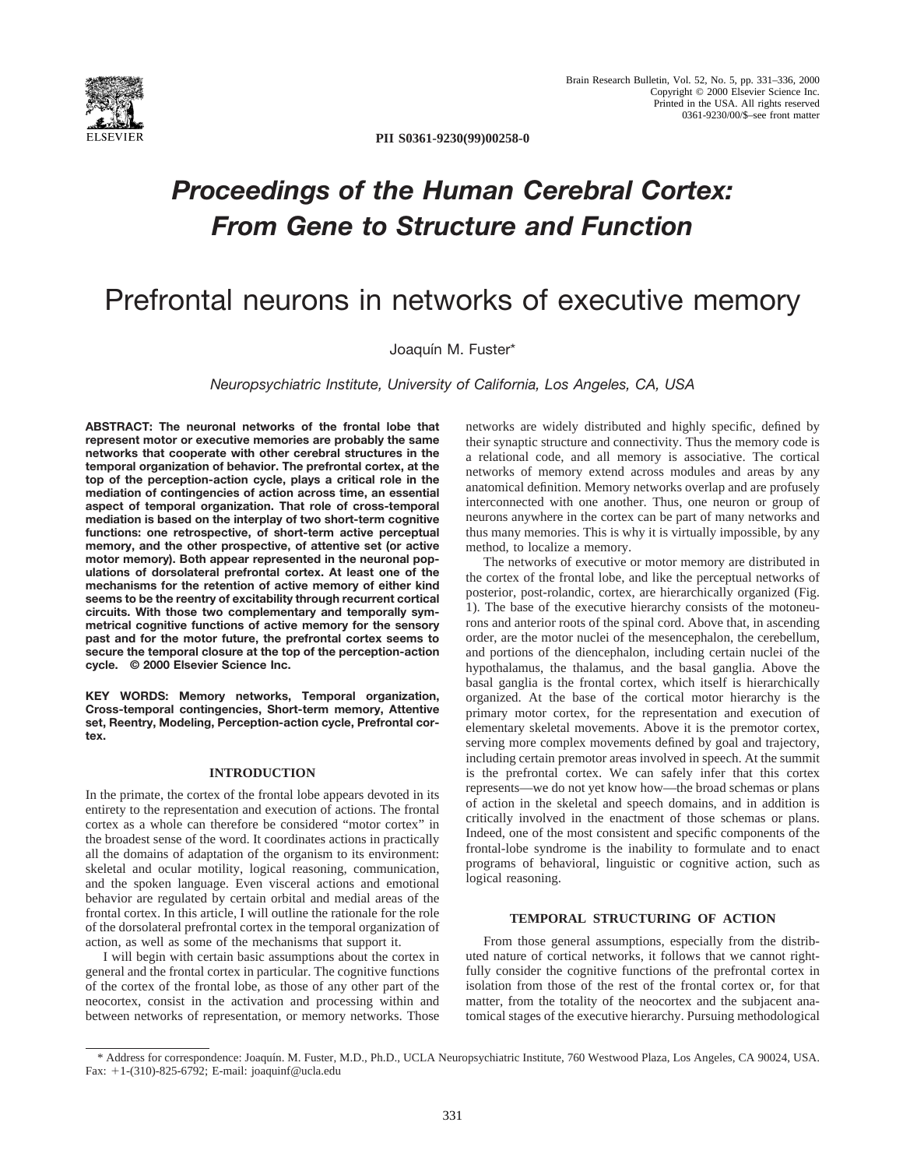

**PII S0361-9230(99)00258-0**

# *Proceedings of the Human Cerebral Cortex: From Gene to Structure and Function*

# Prefrontal neurons in networks of executive memory

# Joaquín M. Fuster\*

*Neuropsychiatric Institute, University of California, Los Angeles, CA, USA*

**ABSTRACT: The neuronal networks of the frontal lobe that represent motor or executive memories are probably the same networks that cooperate with other cerebral structures in the temporal organization of behavior. The prefrontal cortex, at the top of the perception-action cycle, plays a critical role in the mediation of contingencies of action across time, an essential aspect of temporal organization. That role of cross-temporal mediation is based on the interplay of two short-term cognitive functions: one retrospective, of short-term active perceptual memory, and the other prospective, of attentive set (or active motor memory). Both appear represented in the neuronal populations of dorsolateral prefrontal cortex. At least one of the mechanisms for the retention of active memory of either kind seems to be the reentry of excitability through recurrent cortical circuits. With those two complementary and temporally symmetrical cognitive functions of active memory for the sensory past and for the motor future, the prefrontal cortex seems to secure the temporal closure at the top of the perception-action cycle. © 2000 Elsevier Science Inc.**

**KEY WORDS: Memory networks, Temporal organization, Cross-temporal contingencies, Short-term memory, Attentive set, Reentry, Modeling, Perception-action cycle, Prefrontal cortex.**

## **INTRODUCTION**

In the primate, the cortex of the frontal lobe appears devoted in its entirety to the representation and execution of actions. The frontal cortex as a whole can therefore be considered "motor cortex" in the broadest sense of the word. It coordinates actions in practically all the domains of adaptation of the organism to its environment: skeletal and ocular motility, logical reasoning, communication, and the spoken language. Even visceral actions and emotional behavior are regulated by certain orbital and medial areas of the frontal cortex. In this article, I will outline the rationale for the role of the dorsolateral prefrontal cortex in the temporal organization of action, as well as some of the mechanisms that support it.

I will begin with certain basic assumptions about the cortex in general and the frontal cortex in particular. The cognitive functions of the cortex of the frontal lobe, as those of any other part of the neocortex, consist in the activation and processing within and between networks of representation, or memory networks. Those

networks are widely distributed and highly specific, defined by their synaptic structure and connectivity. Thus the memory code is a relational code, and all memory is associative. The cortical networks of memory extend across modules and areas by any anatomical definition. Memory networks overlap and are profusely interconnected with one another. Thus, one neuron or group of neurons anywhere in the cortex can be part of many networks and thus many memories. This is why it is virtually impossible, by any method, to localize a memory.

The networks of executive or motor memory are distributed in the cortex of the frontal lobe, and like the perceptual networks of posterior, post-rolandic, cortex, are hierarchically organized (Fig. 1). The base of the executive hierarchy consists of the motoneurons and anterior roots of the spinal cord. Above that, in ascending order, are the motor nuclei of the mesencephalon, the cerebellum, and portions of the diencephalon, including certain nuclei of the hypothalamus, the thalamus, and the basal ganglia. Above the basal ganglia is the frontal cortex, which itself is hierarchically organized. At the base of the cortical motor hierarchy is the primary motor cortex, for the representation and execution of elementary skeletal movements. Above it is the premotor cortex, serving more complex movements defined by goal and trajectory, including certain premotor areas involved in speech. At the summit is the prefrontal cortex. We can safely infer that this cortex represents—we do not yet know how—the broad schemas or plans of action in the skeletal and speech domains, and in addition is critically involved in the enactment of those schemas or plans. Indeed, one of the most consistent and specific components of the frontal-lobe syndrome is the inability to formulate and to enact programs of behavioral, linguistic or cognitive action, such as logical reasoning.

# **TEMPORAL STRUCTURING OF ACTION**

From those general assumptions, especially from the distributed nature of cortical networks, it follows that we cannot rightfully consider the cognitive functions of the prefrontal cortex in isolation from those of the rest of the frontal cortex or, for that matter, from the totality of the neocortex and the subjacent anatomical stages of the executive hierarchy. Pursuing methodological

<sup>\*</sup> Address for correspondence: Joaquı´n. M. Fuster, M.D., Ph.D., UCLA Neuropsychiatric Institute, 760 Westwood Plaza, Los Angeles, CA 90024, USA. Fax: 11-(310)-825-6792; E-mail: joaquinf@ucla.edu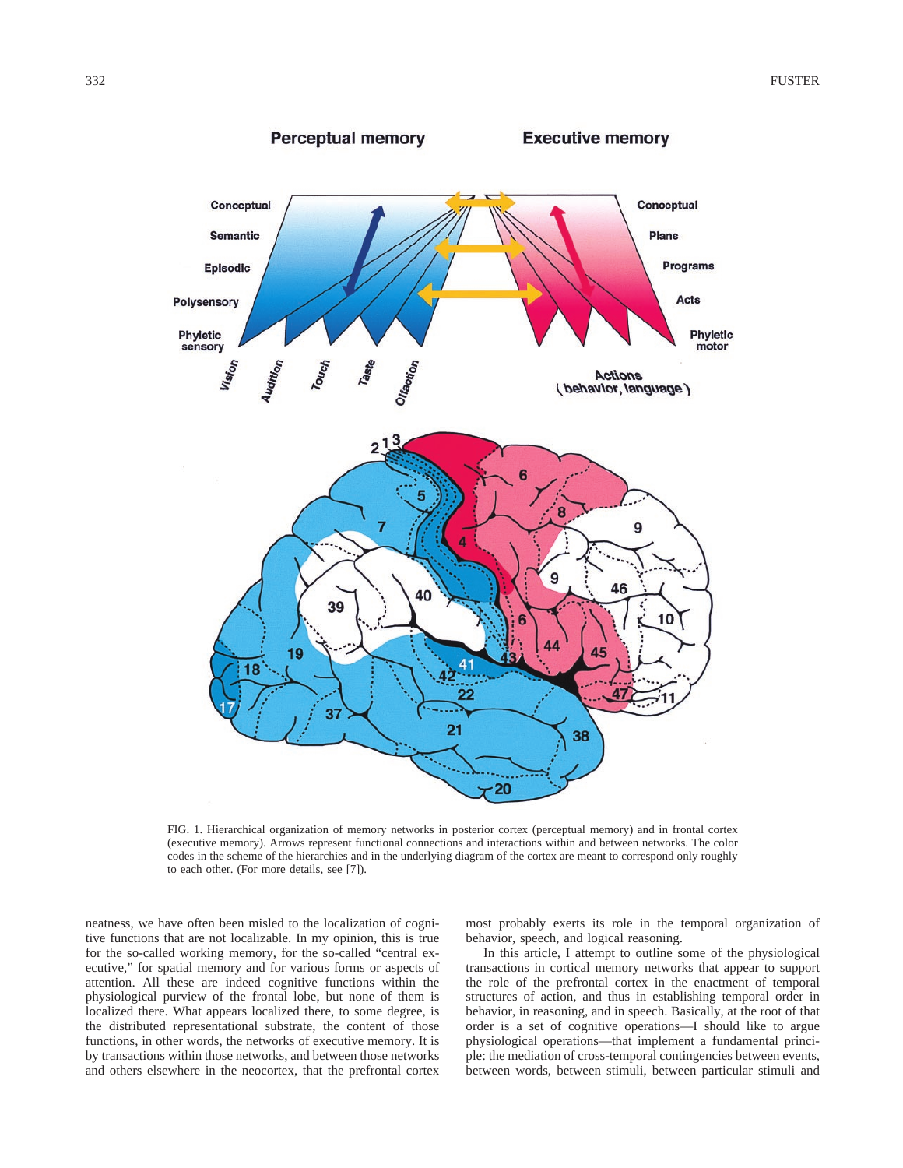

FIG. 1. Hierarchical organization of memory networks in posterior cortex (perceptual memory) and in frontal cortex (executive memory). Arrows represent functional connections and interactions within and between networks. The color codes in the scheme of the hierarchies and in the underlying diagram of the cortex are meant to correspond only roughly to each other. (For more details, see [7]).

neatness, we have often been misled to the localization of cognitive functions that are not localizable. In my opinion, this is true for the so-called working memory, for the so-called "central executive," for spatial memory and for various forms or aspects of attention. All these are indeed cognitive functions within the physiological purview of the frontal lobe, but none of them is localized there. What appears localized there, to some degree, is the distributed representational substrate, the content of those functions, in other words, the networks of executive memory. It is by transactions within those networks, and between those networks and others elsewhere in the neocortex, that the prefrontal cortex most probably exerts its role in the temporal organization of behavior, speech, and logical reasoning.

In this article, I attempt to outline some of the physiological transactions in cortical memory networks that appear to support the role of the prefrontal cortex in the enactment of temporal structures of action, and thus in establishing temporal order in behavior, in reasoning, and in speech. Basically, at the root of that order is a set of cognitive operations—I should like to argue physiological operations—that implement a fundamental principle: the mediation of cross-temporal contingencies between events, between words, between stimuli, between particular stimuli and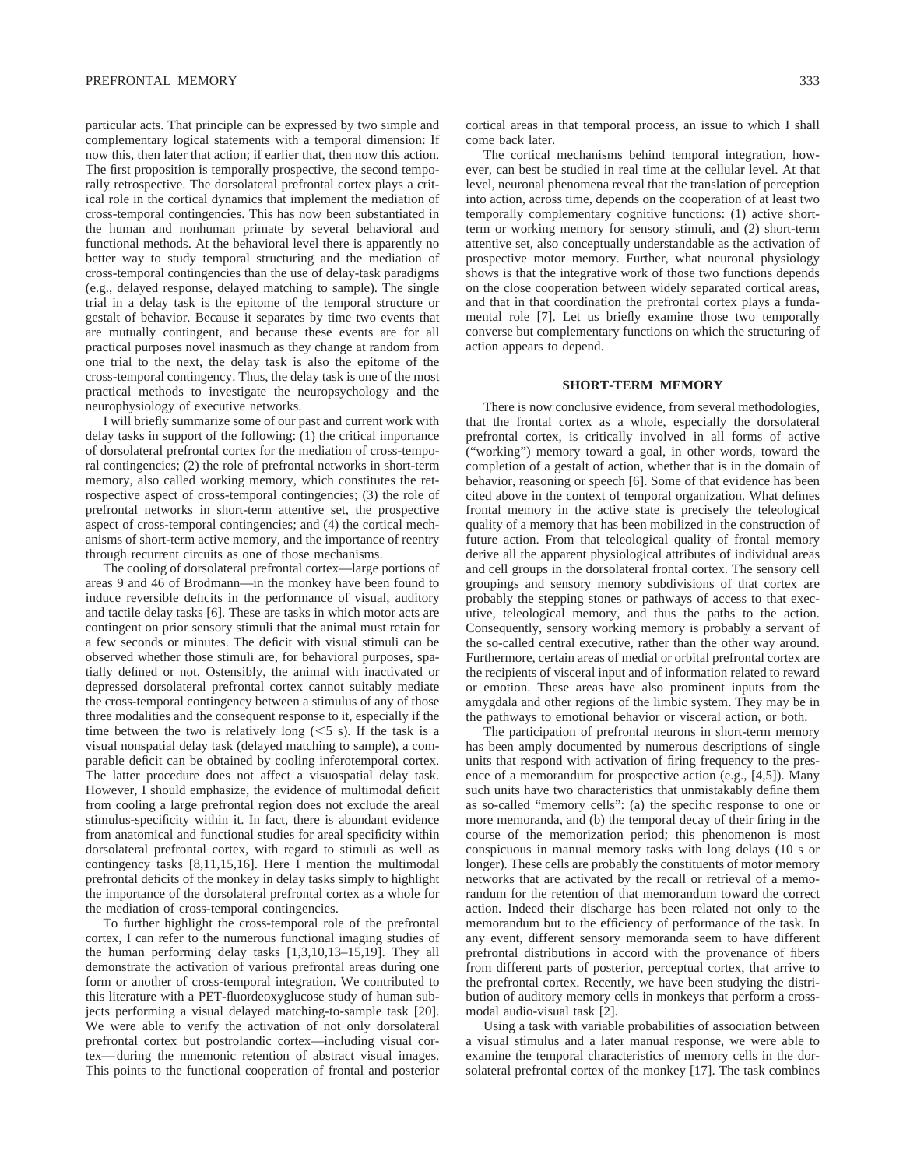particular acts. That principle can be expressed by two simple and complementary logical statements with a temporal dimension: If now this, then later that action; if earlier that, then now this action. The first proposition is temporally prospective, the second temporally retrospective. The dorsolateral prefrontal cortex plays a critical role in the cortical dynamics that implement the mediation of cross-temporal contingencies. This has now been substantiated in the human and nonhuman primate by several behavioral and functional methods. At the behavioral level there is apparently no better way to study temporal structuring and the mediation of cross-temporal contingencies than the use of delay-task paradigms (e.g., delayed response, delayed matching to sample). The single trial in a delay task is the epitome of the temporal structure or gestalt of behavior. Because it separates by time two events that are mutually contingent, and because these events are for all practical purposes novel inasmuch as they change at random from one trial to the next, the delay task is also the epitome of the cross-temporal contingency. Thus, the delay task is one of the most practical methods to investigate the neuropsychology and the neurophysiology of executive networks.

I will briefly summarize some of our past and current work with delay tasks in support of the following: (1) the critical importance of dorsolateral prefrontal cortex for the mediation of cross-temporal contingencies; (2) the role of prefrontal networks in short-term memory, also called working memory, which constitutes the retrospective aspect of cross-temporal contingencies; (3) the role of prefrontal networks in short-term attentive set, the prospective aspect of cross-temporal contingencies; and (4) the cortical mechanisms of short-term active memory, and the importance of reentry through recurrent circuits as one of those mechanisms.

The cooling of dorsolateral prefrontal cortex—large portions of areas 9 and 46 of Brodmann—in the monkey have been found to induce reversible deficits in the performance of visual, auditory and tactile delay tasks [6]. These are tasks in which motor acts are contingent on prior sensory stimuli that the animal must retain for a few seconds or minutes. The deficit with visual stimuli can be observed whether those stimuli are, for behavioral purposes, spatially defined or not. Ostensibly, the animal with inactivated or depressed dorsolateral prefrontal cortex cannot suitably mediate the cross-temporal contingency between a stimulus of any of those three modalities and the consequent response to it, especially if the time between the two is relatively long  $(< 5 s)$ . If the task is a visual nonspatial delay task (delayed matching to sample), a comparable deficit can be obtained by cooling inferotemporal cortex. The latter procedure does not affect a visuospatial delay task. However, I should emphasize, the evidence of multimodal deficit from cooling a large prefrontal region does not exclude the areal stimulus-specificity within it. In fact, there is abundant evidence from anatomical and functional studies for areal specificity within dorsolateral prefrontal cortex, with regard to stimuli as well as contingency tasks [8,11,15,16]. Here I mention the multimodal prefrontal deficits of the monkey in delay tasks simply to highlight the importance of the dorsolateral prefrontal cortex as a whole for the mediation of cross-temporal contingencies.

To further highlight the cross-temporal role of the prefrontal cortex, I can refer to the numerous functional imaging studies of the human performing delay tasks [1,3,10,13–15,19]. They all demonstrate the activation of various prefrontal areas during one form or another of cross-temporal integration. We contributed to this literature with a PET-fluordeoxyglucose study of human subjects performing a visual delayed matching-to-sample task [20]. We were able to verify the activation of not only dorsolateral prefrontal cortex but postrolandic cortex—including visual cortex—during the mnemonic retention of abstract visual images. This points to the functional cooperation of frontal and posterior cortical areas in that temporal process, an issue to which I shall come back later.

The cortical mechanisms behind temporal integration, however, can best be studied in real time at the cellular level. At that level, neuronal phenomena reveal that the translation of perception into action, across time, depends on the cooperation of at least two temporally complementary cognitive functions: (1) active shortterm or working memory for sensory stimuli, and (2) short-term attentive set, also conceptually understandable as the activation of prospective motor memory. Further, what neuronal physiology shows is that the integrative work of those two functions depends on the close cooperation between widely separated cortical areas, and that in that coordination the prefrontal cortex plays a fundamental role [7]. Let us briefly examine those two temporally converse but complementary functions on which the structuring of action appears to depend.

#### **SHORT-TERM MEMORY**

There is now conclusive evidence, from several methodologies, that the frontal cortex as a whole, especially the dorsolateral prefrontal cortex, is critically involved in all forms of active ("working") memory toward a goal, in other words, toward the completion of a gestalt of action, whether that is in the domain of behavior, reasoning or speech [6]. Some of that evidence has been cited above in the context of temporal organization. What defines frontal memory in the active state is precisely the teleological quality of a memory that has been mobilized in the construction of future action. From that teleological quality of frontal memory derive all the apparent physiological attributes of individual areas and cell groups in the dorsolateral frontal cortex. The sensory cell groupings and sensory memory subdivisions of that cortex are probably the stepping stones or pathways of access to that executive, teleological memory, and thus the paths to the action. Consequently, sensory working memory is probably a servant of the so-called central executive, rather than the other way around. Furthermore, certain areas of medial or orbital prefrontal cortex are the recipients of visceral input and of information related to reward or emotion. These areas have also prominent inputs from the amygdala and other regions of the limbic system. They may be in the pathways to emotional behavior or visceral action, or both.

The participation of prefrontal neurons in short-term memory has been amply documented by numerous descriptions of single units that respond with activation of firing frequency to the presence of a memorandum for prospective action (e.g., [4,5]). Many such units have two characteristics that unmistakably define them as so-called "memory cells": (a) the specific response to one or more memoranda, and (b) the temporal decay of their firing in the course of the memorization period; this phenomenon is most conspicuous in manual memory tasks with long delays (10 s or longer). These cells are probably the constituents of motor memory networks that are activated by the recall or retrieval of a memorandum for the retention of that memorandum toward the correct action. Indeed their discharge has been related not only to the memorandum but to the efficiency of performance of the task. In any event, different sensory memoranda seem to have different prefrontal distributions in accord with the provenance of fibers from different parts of posterior, perceptual cortex, that arrive to the prefrontal cortex. Recently, we have been studying the distribution of auditory memory cells in monkeys that perform a crossmodal audio-visual task [2].

Using a task with variable probabilities of association between a visual stimulus and a later manual response, we were able to examine the temporal characteristics of memory cells in the dorsolateral prefrontal cortex of the monkey [17]. The task combines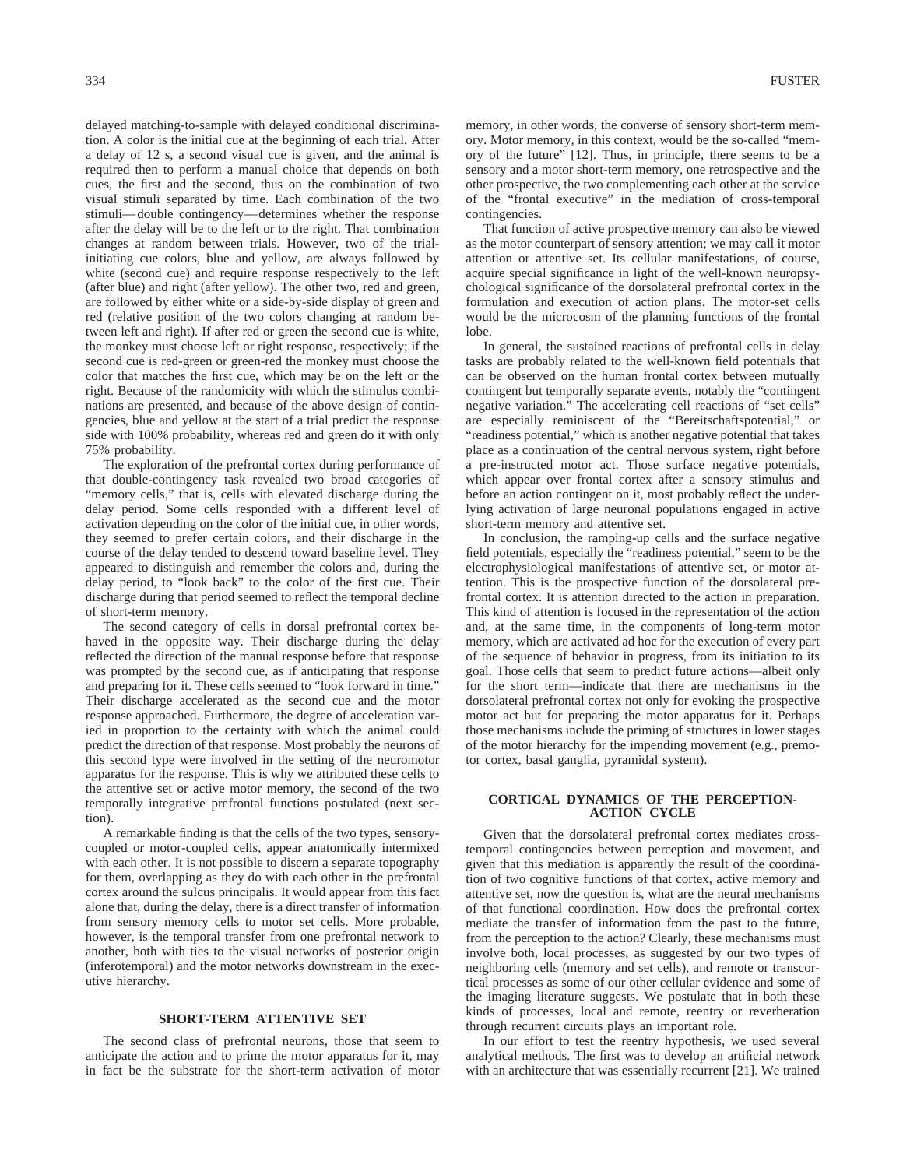delayed matching-to-sample with delayed conditional discrimination. A color is the initial cue at the beginning of each trial. After a delay of 12 s, a second visual cue is given, and the animal is required then to perform a manual choice that depends on both cues, the first and the second, thus on the combination of two visual stimuli separated by time. Each combination of the two stimuli—double contingency—determines whether the response after the delay will be to the left or to the right. That combination changes at random between trials. However, two of the trialinitiating cue colors, blue and yellow, are always followed by white (second cue) and require response respectively to the left (after blue) and right (after yellow). The other two, red and green, are followed by either white or a side-by-side display of green and red (relative position of the two colors changing at random between left and right). If after red or green the second cue is white, the monkey must choose left or right response, respectively; if the second cue is red-green or green-red the monkey must choose the color that matches the first cue, which may be on the left or the right. Because of the randomicity with which the stimulus combinations are presented, and because of the above design of contingencies, blue and yellow at the start of a trial predict the response side with 100% probability, whereas red and green do it with only 75% probability.

The exploration of the prefrontal cortex during performance of that double-contingency task revealed two broad categories of "memory cells," that is, cells with elevated discharge during the delay period. Some cells responded with a different level of activation depending on the color of the initial cue, in other words, they seemed to prefer certain colors, and their discharge in the course of the delay tended to descend toward baseline level. They appeared to distinguish and remember the colors and, during the delay period, to "look back" to the color of the first cue. Their discharge during that period seemed to reflect the temporal decline of short-term memory.

The second category of cells in dorsal prefrontal cortex behaved in the opposite way. Their discharge during the delay reflected the direction of the manual response before that response was prompted by the second cue, as if anticipating that response and preparing for it. These cells seemed to "look forward in time." Their discharge accelerated as the second cue and the motor response approached. Furthermore, the degree of acceleration varied in proportion to the certainty with which the animal could predict the direction of that response. Most probably the neurons of this second type were involved in the setting of the neuromotor apparatus for the response. This is why we attributed these cells to the attentive set or active motor memory, the second of the two temporally integrative prefrontal functions postulated (next section).

A remarkable finding is that the cells of the two types, sensorycoupled or motor-coupled cells, appear anatomically intermixed with each other. It is not possible to discern a separate topography for them, overlapping as they do with each other in the prefrontal cortex around the sulcus principalis. It would appear from this fact alone that, during the delay, there is a direct transfer of information from sensory memory cells to motor set cells. More probable, however, is the temporal transfer from one prefrontal network to another, both with ties to the visual networks of posterior origin (inferotemporal) and the motor networks downstream in the executive hierarchy.

#### **SHORT-TERM ATTENTIVE SET**

The second class of prefrontal neurons, those that seem to anticipate the action and to prime the motor apparatus for it, may in fact be the substrate for the short-term activation of motor memory, in other words, the converse of sensory short-term memory. Motor memory, in this context, would be the so-called "memory of the future" [12]. Thus, in principle, there seems to be a sensory and a motor short-term memory, one retrospective and the other prospective, the two complementing each other at the service of the "frontal executive" in the mediation of cross-temporal contingencies.

That function of active prospective memory can also be viewed as the motor counterpart of sensory attention; we may call it motor attention or attentive set. Its cellular manifestations, of course, acquire special significance in light of the well-known neuropsychological significance of the dorsolateral prefrontal cortex in the formulation and execution of action plans. The motor-set cells would be the microcosm of the planning functions of the frontal lobe.

In general, the sustained reactions of prefrontal cells in delay tasks are probably related to the well-known field potentials that can be observed on the human frontal cortex between mutually contingent but temporally separate events, notably the "contingent negative variation." The accelerating cell reactions of "set cells" are especially reminiscent of the "Bereitschaftspotential," or "readiness potential," which is another negative potential that takes place as a continuation of the central nervous system, right before a pre-instructed motor act. Those surface negative potentials, which appear over frontal cortex after a sensory stimulus and before an action contingent on it, most probably reflect the underlying activation of large neuronal populations engaged in active short-term memory and attentive set.

In conclusion, the ramping-up cells and the surface negative field potentials, especially the "readiness potential," seem to be the electrophysiological manifestations of attentive set, or motor attention. This is the prospective function of the dorsolateral prefrontal cortex. It is attention directed to the action in preparation. This kind of attention is focused in the representation of the action and, at the same time, in the components of long-term motor memory, which are activated ad hoc for the execution of every part of the sequence of behavior in progress, from its initiation to its goal. Those cells that seem to predict future actions—albeit only for the short term—indicate that there are mechanisms in the dorsolateral prefrontal cortex not only for evoking the prospective motor act but for preparing the motor apparatus for it. Perhaps those mechanisms include the priming of structures in lower stages of the motor hierarchy for the impending movement (e.g., premotor cortex, basal ganglia, pyramidal system).

### **CORTICAL DYNAMICS OF THE PERCEPTION-ACTION CYCLE**

Given that the dorsolateral prefrontal cortex mediates crosstemporal contingencies between perception and movement, and given that this mediation is apparently the result of the coordination of two cognitive functions of that cortex, active memory and attentive set, now the question is, what are the neural mechanisms of that functional coordination. How does the prefrontal cortex mediate the transfer of information from the past to the future, from the perception to the action? Clearly, these mechanisms must involve both, local processes, as suggested by our two types of neighboring cells (memory and set cells), and remote or transcortical processes as some of our other cellular evidence and some of the imaging literature suggests. We postulate that in both these kinds of processes, local and remote, reentry or reverberation through recurrent circuits plays an important role.

In our effort to test the reentry hypothesis, we used several analytical methods. The first was to develop an artificial network with an architecture that was essentially recurrent [21]. We trained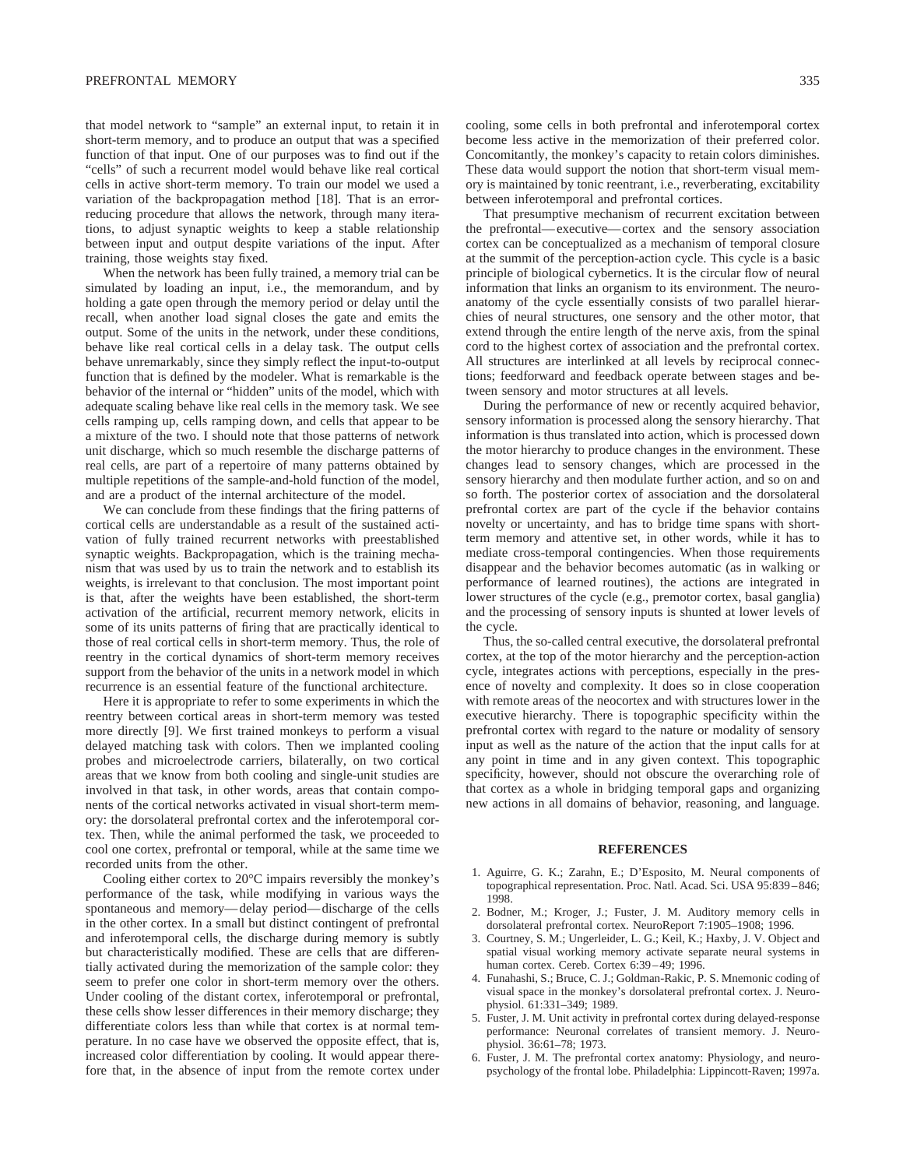that model network to "sample" an external input, to retain it in short-term memory, and to produce an output that was a specified function of that input. One of our purposes was to find out if the "cells" of such a recurrent model would behave like real cortical cells in active short-term memory. To train our model we used a variation of the backpropagation method [18]. That is an errorreducing procedure that allows the network, through many iterations, to adjust synaptic weights to keep a stable relationship between input and output despite variations of the input. After training, those weights stay fixed.

When the network has been fully trained, a memory trial can be simulated by loading an input, i.e., the memorandum, and by holding a gate open through the memory period or delay until the recall, when another load signal closes the gate and emits the output. Some of the units in the network, under these conditions, behave like real cortical cells in a delay task. The output cells behave unremarkably, since they simply reflect the input-to-output function that is defined by the modeler. What is remarkable is the behavior of the internal or "hidden" units of the model, which with adequate scaling behave like real cells in the memory task. We see cells ramping up, cells ramping down, and cells that appear to be a mixture of the two. I should note that those patterns of network unit discharge, which so much resemble the discharge patterns of real cells, are part of a repertoire of many patterns obtained by multiple repetitions of the sample-and-hold function of the model, and are a product of the internal architecture of the model.

We can conclude from these findings that the firing patterns of cortical cells are understandable as a result of the sustained activation of fully trained recurrent networks with preestablished synaptic weights. Backpropagation, which is the training mechanism that was used by us to train the network and to establish its weights, is irrelevant to that conclusion. The most important point is that, after the weights have been established, the short-term activation of the artificial, recurrent memory network, elicits in some of its units patterns of firing that are practically identical to those of real cortical cells in short-term memory. Thus, the role of reentry in the cortical dynamics of short-term memory receives support from the behavior of the units in a network model in which recurrence is an essential feature of the functional architecture.

Here it is appropriate to refer to some experiments in which the reentry between cortical areas in short-term memory was tested more directly [9]. We first trained monkeys to perform a visual delayed matching task with colors. Then we implanted cooling probes and microelectrode carriers, bilaterally, on two cortical areas that we know from both cooling and single-unit studies are involved in that task, in other words, areas that contain components of the cortical networks activated in visual short-term memory: the dorsolateral prefrontal cortex and the inferotemporal cortex. Then, while the animal performed the task, we proceeded to cool one cortex, prefrontal or temporal, while at the same time we recorded units from the other.

Cooling either cortex to 20°C impairs reversibly the monkey's performance of the task, while modifying in various ways the spontaneous and memory—delay period—discharge of the cells in the other cortex. In a small but distinct contingent of prefrontal and inferotemporal cells, the discharge during memory is subtly but characteristically modified. These are cells that are differentially activated during the memorization of the sample color: they seem to prefer one color in short-term memory over the others. Under cooling of the distant cortex, inferotemporal or prefrontal, these cells show lesser differences in their memory discharge; they differentiate colors less than while that cortex is at normal temperature. In no case have we observed the opposite effect, that is, increased color differentiation by cooling. It would appear therefore that, in the absence of input from the remote cortex under

cooling, some cells in both prefrontal and inferotemporal cortex become less active in the memorization of their preferred color. Concomitantly, the monkey's capacity to retain colors diminishes. These data would support the notion that short-term visual memory is maintained by tonic reentrant, i.e., reverberating, excitability between inferotemporal and prefrontal cortices.

That presumptive mechanism of recurrent excitation between the prefrontal—executive—cortex and the sensory association cortex can be conceptualized as a mechanism of temporal closure at the summit of the perception-action cycle. This cycle is a basic principle of biological cybernetics. It is the circular flow of neural information that links an organism to its environment. The neuroanatomy of the cycle essentially consists of two parallel hierarchies of neural structures, one sensory and the other motor, that extend through the entire length of the nerve axis, from the spinal cord to the highest cortex of association and the prefrontal cortex. All structures are interlinked at all levels by reciprocal connections; feedforward and feedback operate between stages and between sensory and motor structures at all levels.

During the performance of new or recently acquired behavior, sensory information is processed along the sensory hierarchy. That information is thus translated into action, which is processed down the motor hierarchy to produce changes in the environment. These changes lead to sensory changes, which are processed in the sensory hierarchy and then modulate further action, and so on and so forth. The posterior cortex of association and the dorsolateral prefrontal cortex are part of the cycle if the behavior contains novelty or uncertainty, and has to bridge time spans with shortterm memory and attentive set, in other words, while it has to mediate cross-temporal contingencies. When those requirements disappear and the behavior becomes automatic (as in walking or performance of learned routines), the actions are integrated in lower structures of the cycle (e.g., premotor cortex, basal ganglia) and the processing of sensory inputs is shunted at lower levels of the cycle.

Thus, the so-called central executive, the dorsolateral prefrontal cortex, at the top of the motor hierarchy and the perception-action cycle, integrates actions with perceptions, especially in the presence of novelty and complexity. It does so in close cooperation with remote areas of the neocortex and with structures lower in the executive hierarchy. There is topographic specificity within the prefrontal cortex with regard to the nature or modality of sensory input as well as the nature of the action that the input calls for at any point in time and in any given context. This topographic specificity, however, should not obscure the overarching role of that cortex as a whole in bridging temporal gaps and organizing new actions in all domains of behavior, reasoning, and language.

### **REFERENCES**

- 1. Aguirre, G. K.; Zarahn, E.; D'Esposito, M. Neural components of topographical representation. Proc. Natl. Acad. Sci. USA 95:839–846; 1998.
- 2. Bodner, M.; Kroger, J.; Fuster, J. M. Auditory memory cells in dorsolateral prefrontal cortex. NeuroReport 7:1905–1908; 1996.
- 3. Courtney, S. M.; Ungerleider, L. G.; Keil, K.; Haxby, J. V. Object and spatial visual working memory activate separate neural systems in human cortex. Cereb. Cortex 6:39–49; 1996.
- 4. Funahashi, S.; Bruce, C. J.; Goldman-Rakic, P. S. Mnemonic coding of visual space in the monkey's dorsolateral prefrontal cortex. J. Neurophysiol. 61:331–349; 1989.
- 5. Fuster, J. M. Unit activity in prefrontal cortex during delayed-response performance: Neuronal correlates of transient memory. J. Neurophysiol. 36:61–78; 1973.
- 6. Fuster, J. M. The prefrontal cortex anatomy: Physiology, and neuropsychology of the frontal lobe. Philadelphia: Lippincott-Raven; 1997a.